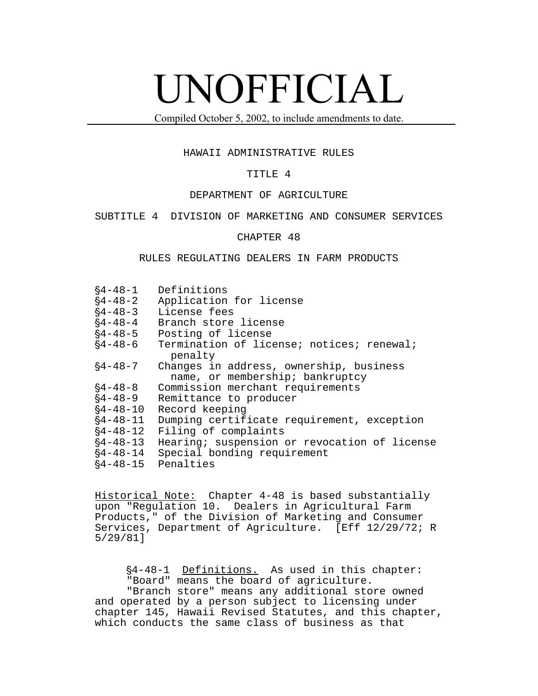# UNOFFICIAL

Compiled October 5, 2002, to include amendments to date.

### HAWAII ADMINISTRATIVE RULES

# TITLE 4

## DEPARTMENT OF AGRICULTURE

SUBTITLE 4 DIVISION OF MARKETING AND CONSUMER SERVICES

# CHAPTER 48

### RULES REGULATING DEALERS IN FARM PRODUCTS

| $§4 - 48 - 1$  | Definitions                                                                |
|----------------|----------------------------------------------------------------------------|
| $§4 - 48 - 2$  | Application for license                                                    |
| $§4 - 48 - 3$  | License fees                                                               |
| $§4 - 48 - 4$  | Branch store license                                                       |
| $§4 - 48 - 5$  | Posting of license                                                         |
| $§4 - 48 - 6$  | Termination of license; notices; renewal;<br>penalty                       |
| $§4 - 48 - 7$  | Changes in address, ownership, business<br>name, or membership; bankruptcy |
| $§4 - 48 - 8$  | Commission merchant requirements                                           |
| $§4 - 48 - 9$  | Remittance to producer                                                     |
| $§4 - 48 - 10$ | Record keeping                                                             |
| $§4 - 48 - 11$ | Dumping certificate requirement, exception                                 |
| $§4 - 48 - 12$ | Filing of complaints                                                       |
| $§4 - 48 - 13$ | Hearing; suspension or revocation of license                               |
| $§4 - 48 - 14$ | Special bonding requirement                                                |
| $§4 - 48 - 15$ | Penalties                                                                  |

Historical Note: Chapter 4-48 is based substantially upon "Regulation 10. Dealers in Agricultural Farm Products," of the Division of Marketing and Consumer Services, Department of Agriculture. [Eff 12/29/72; R 5/29/81]

§4-48-1 Definitions. As used in this chapter: "Board" means the board of agriculture. "Branch store" means any additional store owned

and operated by a person subject to licensing under chapter 145, Hawaii Revised Statutes, and this chapter, which conducts the same class of business as that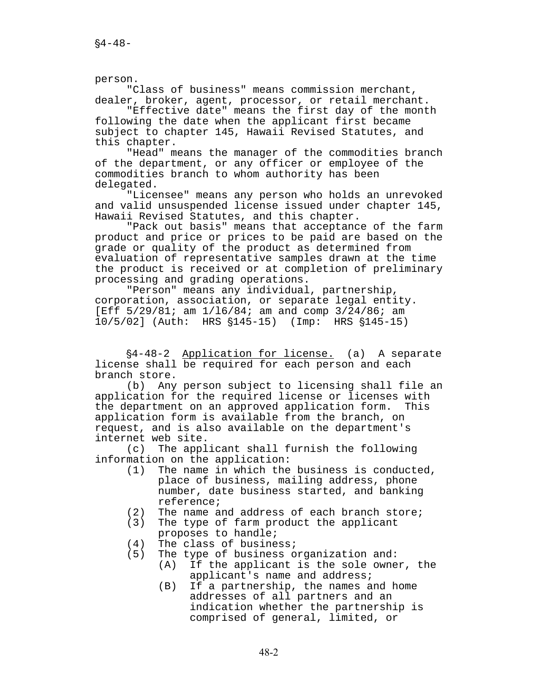person.

"Class of business" means commission merchant, dealer, broker, agent, processor, or retail merchant.

"Effective date" means the first day of the month following the date when the applicant first became subject to chapter 145, Hawaii Revised Statutes, and this chapter.

"Head" means the manager of the commodities branch of the department, or any officer or employee of the commodities branch to whom authority has been delegated.

"Licensee" means any person who holds an unrevoked and valid unsuspended license issued under chapter 145, Hawaii Revised Statutes, and this chapter.

"Pack out basis" means that acceptance of the farm product and price or prices to be paid are based on the grade or quality of the product as determined from evaluation of representative samples drawn at the time the product is received or at completion of preliminary processing and grading operations.

"Person" means any individual, partnership, corporation, association, or separate legal entity. [Eff 5/29/81; am 1/16/84; am and comp 3/24/86; am 10/5/02] (Auth: HRS \$145-15) (Imp: HRS \$145-15)

'4-48-2 Application for license. (a) A separate license shall be required for each person and each branch store.

(b) Any person subject to licensing shall file an application for the required license or licenses with the department on an approved application form. This application form is available from the branch, on request, and is also available on the department's internet web site.

(c) The applicant shall furnish the following information on the application:

- (1) The name in which the business is conducted, place of business, mailing address, phone number, date business started, and banking reference;
- (2) The name and address of each branch store;
- (3) The type of farm product the applicant proposes to handle;
- (4) The class of business;
- (5) The type of business organization and:
	- (A) If the applicant is the sole owner, the applicant's name and address;
		- (B) If a partnership, the names and home addresses of all partners and an indication whether the partnership is comprised of general, limited, or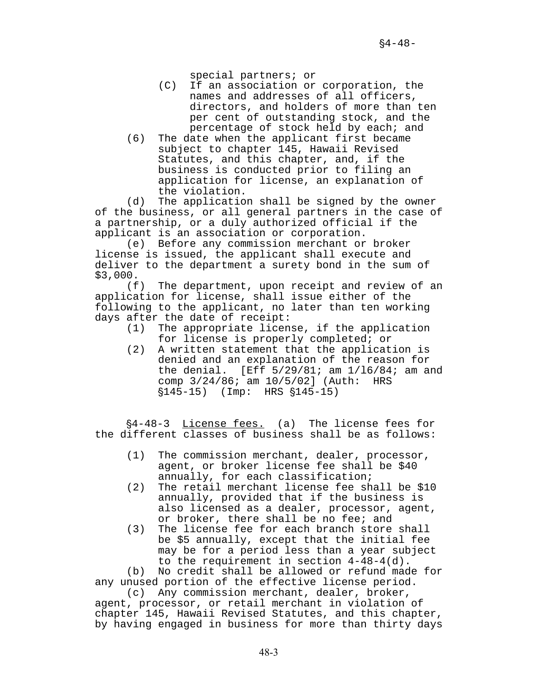special partners; or

- (C) If an association or corporation, the names and addresses of all officers, directors, and holders of more than ten per cent of outstanding stock, and the percentage of stock held by each; and
- (6) The date when the applicant first became subject to chapter 145, Hawaii Revised Statutes, and this chapter, and, if the business is conducted prior to filing an application for license, an explanation of the violation.

(d) The application shall be signed by the owner of the business, or all general partners in the case of a partnership, or a duly authorized official if the applicant is an association or corporation.

(e) Before any commission merchant or broker license is issued, the applicant shall execute and deliver to the department a surety bond in the sum of \$3,000.

(f) The department, upon receipt and review of an application for license, shall issue either of the following to the applicant, no later than ten working days after the date of receipt:

- (1) The appropriate license, if the application for license is properly completed; or
- (2) A written statement that the application is denied and an explanation of the reason for the denial. [Eff 5/29/81; am 1/l6/84; am and comp 3/24/86; am 10/5/02] (Auth: HRS  $$145-15$  (Imp: HRS  $$145-15$ )

§4-48-3 License fees. (a) The license fees for the different classes of business shall be as follows:

- (1) The commission merchant, dealer, processor, agent, or broker license fee shall be \$40 annually, for each classification;
- (2) The retail merchant license fee shall be \$10 annually, provided that if the business is also licensed as a dealer, processor, agent, or broker, there shall be no fee; and
- (3) The license fee for each branch store shall be \$5 annually, except that the initial fee may be for a period less than a year subject to the requirement in section 4-48-4(d).

(b) No credit shall be allowed or refund made for any unused portion of the effective license period.

(c) Any commission merchant, dealer, broker, agent, processor, or retail merchant in violation of chapter 145, Hawaii Revised Statutes, and this chapter, by having engaged in business for more than thirty days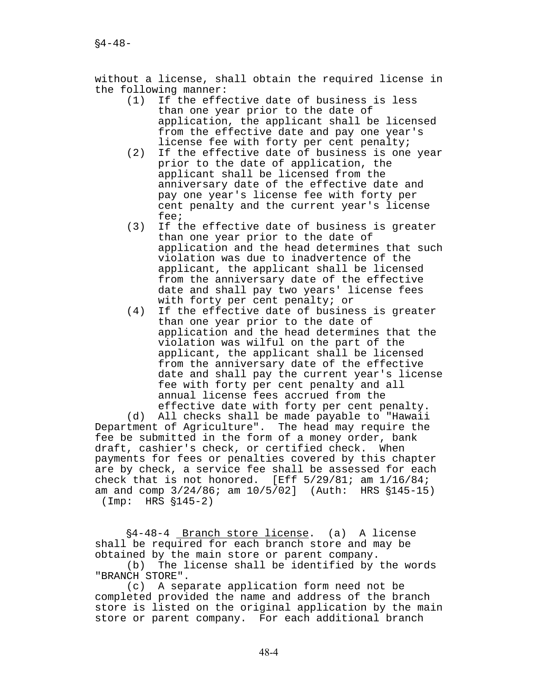without a license, shall obtain the required license in the following manner:

- (1) If the effective date of business is less than one year prior to the date of application, the applicant shall be licensed from the effective date and pay one year's license fee with forty per cent penalty;
- (2) If the effective date of business is one year prior to the date of application, the applicant shall be licensed from the anniversary date of the effective date and pay one year's license fee with forty per cent penalty and the current year's license fee;
- (3) If the effective date of business is greater than one year prior to the date of application and the head determines that such violation was due to inadvertence of the applicant, the applicant shall be licensed from the anniversary date of the effective date and shall pay two years' license fees with forty per cent penalty; or
- (4) If the effective date of business is greater than one year prior to the date of application and the head determines that the violation was wilful on the part of the applicant, the applicant shall be licensed from the anniversary date of the effective date and shall pay the current year's license fee with forty per cent penalty and all annual license fees accrued from the effective date with forty per cent penalty.

(d) All checks shall be made payable to "Hawaii Department of Agriculture". The head may require the fee be submitted in the form of a money order, bank draft, cashier's check, or certified check. When payments for fees or penalties covered by this chapter are by check, a service fee shall be assessed for each check that is not honored. [Eff  $5/29/81$ ; am  $1/16/84$ ; am and comp  $3/24/86$ ; am  $10/5/02$ ] (Auth: HRS  $$145-15$ )  $(Imp: HRS \S145-2)$ 

§4-48-4 Branch store license. (a) A license shall be required for each branch store and may be obtained by the main store or parent company.

(b) The license shall be identified by the words "BRANCH STORE".

(c) A separate application form need not be completed provided the name and address of the branch store is listed on the original application by the main store or parent company. For each additional branch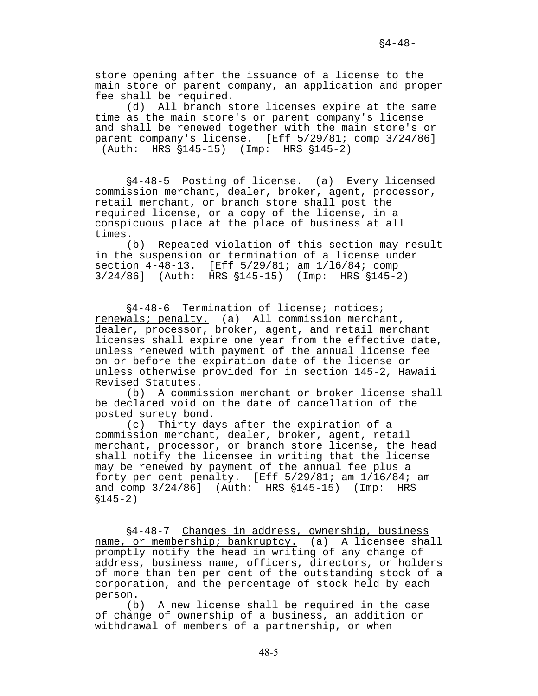store opening after the issuance of a license to the main store or parent company, an application and proper fee shall be required.

(d) All branch store licenses expire at the same time as the main store's or parent company's license and shall be renewed together with the main store's or parent company's license. [Eff 5/29/81; comp 3/24/86] (Auth: HRS  $$145-15$ ) (Imp: HRS  $$145-2$ )

§4-48-5 Posting of license. (a) Every licensed commission merchant, dealer, broker, agent, processor, retail merchant, or branch store shall post the required license, or a copy of the license, in a conspicuous place at the place of business at all times.

(b) Repeated violation of this section may result in the suspension or termination of a license under section 4-48-13. [Eff 5/29/81; am 1/l6/84; comp  $3/24/86$ ] (Auth: HRS  $$145-15$ ) (Imp: HRS  $$145-2$ )

§4-48-6 Termination of license; notices; renewals; penalty. (a) All commission merchant, dealer, processor, broker, agent, and retail merchant licenses shall expire one year from the effective date, unless renewed with payment of the annual license fee on or before the expiration date of the license or unless otherwise provided for in section 145-2, Hawaii Revised Statutes.

(b) A commission merchant or broker license shall be declared void on the date of cancellation of the posted surety bond.

(c) Thirty days after the expiration of a commission merchant, dealer, broker, agent, retail merchant, processor, or branch store license, the head shall notify the licensee in writing that the license may be renewed by payment of the annual fee plus a forty per cent penalty. [Eff 5/29/81; am 1/16/84; am and comp  $3/24/86$ ] (Auth: HRS  $$145-15$ ) (Imp: HRS  $$145-2)$ 

'4-48-7 Changes in address, ownership, business name, or membership; bankruptcy. (a) A licensee shall promptly notify the head in writing of any change of address, business name, officers, directors, or holders of more than ten per cent of the outstanding stock of a corporation, and the percentage of stock held by each person.

(b) A new license shall be required in the case of change of ownership of a business, an addition or withdrawal of members of a partnership, or when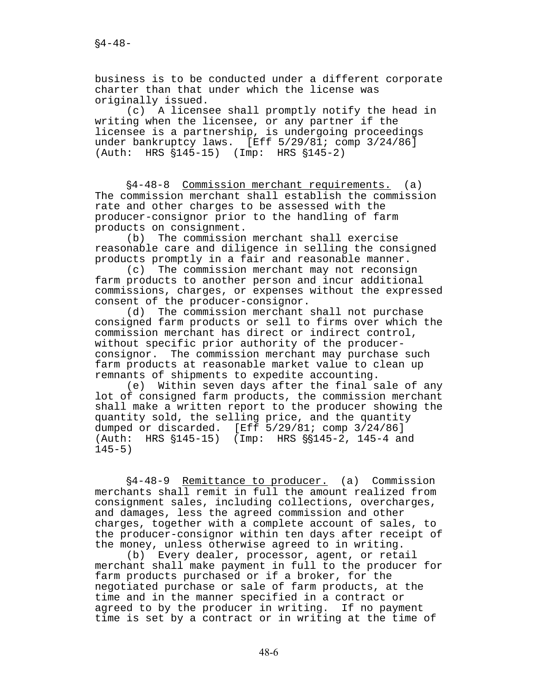business is to be conducted under a different corporate charter than that under which the license was originally issued.

(c) A licensee shall promptly notify the head in writing when the licensee, or any partner if the licensee is a partnership, is undergoing proceedings under bankruptcy laws. [Eff 5/29/81; comp 3/24/86] (Auth: HRS  $$145-15$ ) (Imp: HRS  $$145-2$ )

§4-48-8 Commission merchant requirements. (a) The commission merchant shall establish the commission rate and other charges to be assessed with the producer-consignor prior to the handling of farm products on consignment.

(b) The commission merchant shall exercise reasonable care and diligence in selling the consigned products promptly in a fair and reasonable manner.

(c) The commission merchant may not reconsign farm products to another person and incur additional commissions, charges, or expenses without the expressed consent of the producer-consignor.

(d) The commission merchant shall not purchase consigned farm products or sell to firms over which the commission merchant has direct or indirect control, without specific prior authority of the producerconsignor. The commission merchant may purchase such farm products at reasonable market value to clean up remnants of shipments to expedite accounting.

(e) Within seven days after the final sale of any lot of consigned farm products, the commission merchant shall make a written report to the producer showing the quantity sold, the selling price, and the quantity dumped or discarded. [Eff 5/29/81; comp 3/24/86] (Auth: HRS  $$145-15$ ) (Imp: HRS  $$145-2$ , 145-4 and  $145-5)$ 

§4-48-9 Remittance to producer. (a) Commission merchants shall remit in full the amount realized from consignment sales, including collections, overcharges, and damages, less the agreed commission and other charges, together with a complete account of sales, to the producer-consignor within ten days after receipt of the money, unless otherwise agreed to in writing.

(b) Every dealer, processor, agent, or retail merchant shall make payment in full to the producer for farm products purchased or if a broker, for the negotiated purchase or sale of farm products, at the time and in the manner specified in a contract or agreed to by the producer in writing. If no payment time is set by a contract or in writing at the time of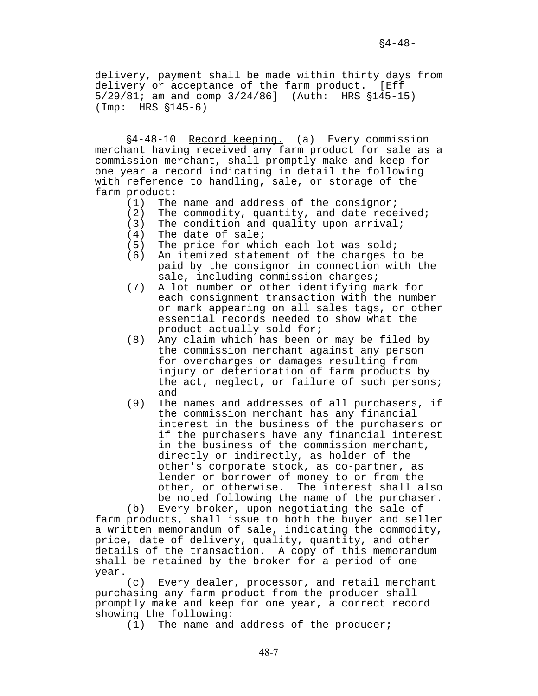delivery, payment shall be made within thirty days from delivery or acceptance of the farm product. [Eff  $5/29/81$ ; am and comp  $3/24/86$ ] (Auth: HRS  $$145-15$ )  $(Imp: HRS \S145-6)$ 

§4-48-10 Record keeping. (a) Every commission merchant having received any farm product for sale as a commission merchant, shall promptly make and keep for one year a record indicating in detail the following with reference to handling, sale, or storage of the farm product:

- (1) The name and address of the consignor;
- (2) The commodity, quantity, and date received;
- (3) The condition and quality upon arrival;
- (4) The date of sale;
- (5) The price for which each lot was sold;
- (6) An itemized statement of the charges to be paid by the consignor in connection with the sale, including commission charges;
- (7) A lot number or other identifying mark for each consignment transaction with the number or mark appearing on all sales tags, or other essential records needed to show what the product actually sold for;
- (8) Any claim which has been or may be filed by the commission merchant against any person for overcharges or damages resulting from injury or deterioration of farm products by the act, neglect, or failure of such persons; and
- (9) The names and addresses of all purchasers, if the commission merchant has any financial interest in the business of the purchasers or if the purchasers have any financial interest in the business of the commission merchant, directly or indirectly, as holder of the other's corporate stock, as co-partner, as lender or borrower of money to or from the other, or otherwise. The interest shall also be noted following the name of the purchaser.

(b) Every broker, upon negotiating the sale of farm products, shall issue to both the buyer and seller a written memorandum of sale, indicating the commodity, price, date of delivery, quality, quantity, and other details of the transaction. A copy of this memorandum shall be retained by the broker for a period of one year.

(c) Every dealer, processor, and retail merchant purchasing any farm product from the producer shall promptly make and keep for one year, a correct record showing the following:

(1) The name and address of the producer;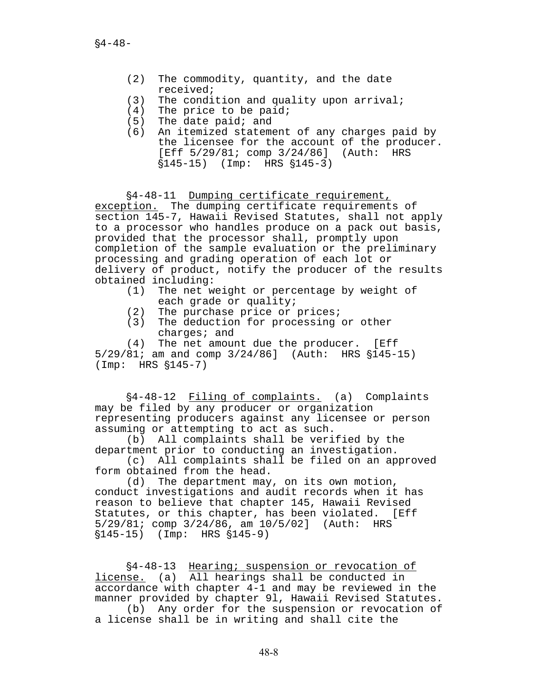- (2) The commodity, quantity, and the date received;
- (3) The condition and quality upon arrival;
- (4) The price to be paid;
- (5) The date paid; and
- (6) An itemized statement of any charges paid by the licensee for the account of the producer. [Eff 5/29/81; comp 3/24/86] (Auth: HRS  $$145-15$  (Imp: HRS  $$145-3$ )

'4-48-11 Dumping certificate requirement,

exception. The dumping certificate requirements of section 145-7, Hawaii Revised Statutes, shall not apply to a processor who handles produce on a pack out basis, provided that the processor shall, promptly upon completion of the sample evaluation or the preliminary processing and grading operation of each lot or delivery of product, notify the producer of the results obtained including:

- (1) The net weight or percentage by weight of each grade or quality;
- (2) The purchase price or prices;
- (3) The deduction for processing or other charges; and

(4) The net amount due the producer. [Eff  $5/29/81$ ; am and comp  $3/24/86$ ] (Auth: HRS  $$145-15$ )  $(Imp: HRS \$   $$145-7)$ 

'4-48-12 Filing of complaints. (a) Complaints may be filed by any producer or organization representing producers against any licensee or person assuming or attempting to act as such.

(b) All complaints shall be verified by the department prior to conducting an investigation.

(c) All complaints shall be filed on an approved form obtained from the head.

(d) The department may, on its own motion, conduct investigations and audit records when it has reason to believe that chapter 145, Hawaii Revised Statutes, or this chapter, has been violated. [Eff 5/29/81; comp 3/24/86, am 10/5/02] (Auth: HRS  $$145-15$ ) (Imp: HRS  $$145-9$ )

'4-48-13 Hearing; suspension or revocation of license. (a) All hearings shall be conducted in accordance with chapter 4-1 and may be reviewed in the manner provided by chapter 9l, Hawaii Revised Statutes.

(b) Any order for the suspension or revocation of a license shall be in writing and shall cite the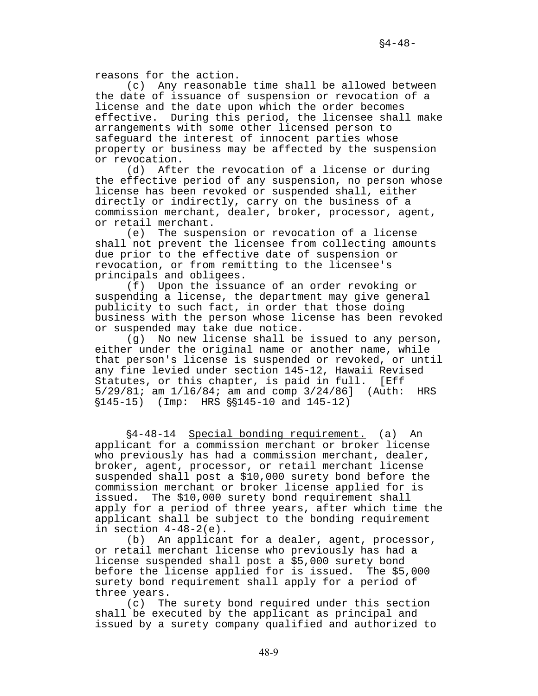reasons for the action.

(c) Any reasonable time shall be allowed between the date of issuance of suspension or revocation of a license and the date upon which the order becomes effective. During this period, the licensee shall make arrangements with some other licensed person to safeguard the interest of innocent parties whose property or business may be affected by the suspension or revocation.

(d) After the revocation of a license or during the effective period of any suspension, no person whose license has been revoked or suspended shall, either directly or indirectly, carry on the business of a commission merchant, dealer, broker, processor, agent, or retail merchant.

(e) The suspension or revocation of a license shall not prevent the licensee from collecting amounts due prior to the effective date of suspension or revocation, or from remitting to the licensee's principals and obligees.

(f) Upon the issuance of an order revoking or suspending a license, the department may give general publicity to such fact, in order that those doing business with the person whose license has been revoked or suspended may take due notice.

(g) No new license shall be issued to any person, either under the original name or another name, while that person's license is suspended or revoked, or until any fine levied under section 145-12, Hawaii Revised Statutes, or this chapter, is paid in full. [Eff 5/29/81; am 1/l6/84; am and comp 3/24/86] (Auth: HRS  $$145-15$  (Imp: HRS  $$$145-10$  and  $145-12$ )

§4-48-14 Special bonding requirement. (a) An applicant for a commission merchant or broker license who previously has had a commission merchant, dealer, broker, agent, processor, or retail merchant license suspended shall post a \$10,000 surety bond before the commission merchant or broker license applied for is issued. The \$10,000 surety bond requirement shall apply for a period of three years, after which time the applicant shall be subject to the bonding requirement in section  $4-48-2(e)$ .

(b) An applicant for a dealer, agent, processor, or retail merchant license who previously has had a license suspended shall post a \$5,000 surety bond before the license applied for is issued. The \$5,000 surety bond requirement shall apply for a period of three years.

(c) The surety bond required under this section shall be executed by the applicant as principal and issued by a surety company qualified and authorized to